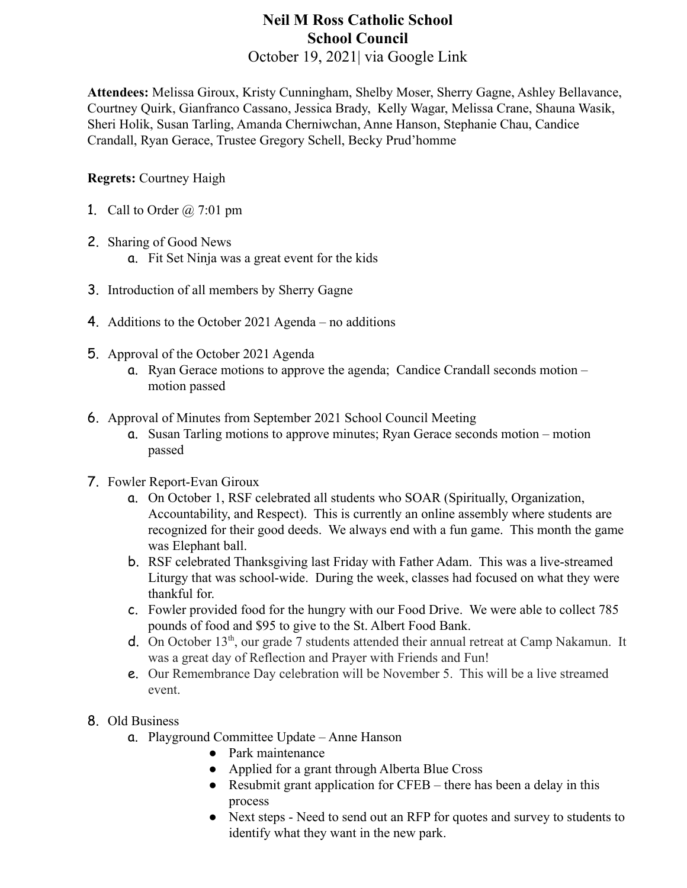# **Neil M Ross Catholic School School Council**

October 19, 2021| via Google Link

**Attendees:** Melissa Giroux, Kristy Cunningham, Shelby Moser, Sherry Gagne, Ashley Bellavance, Courtney Quirk, Gianfranco Cassano, Jessica Brady, Kelly Wagar, Melissa Crane, Shauna Wasik, Sheri Holik, Susan Tarling, Amanda Cherniwchan, Anne Hanson, Stephanie Chau, Candice Crandall, Ryan Gerace, Trustee Gregory Schell, Becky Prud'homme

#### **Regrets:** Courtney Haigh

- 1. Call to Order  $\omega$  7:01 pm
- 2. Sharing of Good News a. Fit Set Ninja was a great event for the kids
- 3. Introduction of all members by Sherry Gagne
- 4. Additions to the October 2021 Agenda no additions
- 5. Approval of the October 2021 Agenda
	- a. Ryan Gerace motions to approve the agenda; Candice Crandall seconds motion motion passed
- 6. Approval of Minutes from September 2021 School Council Meeting
	- a. Susan Tarling motions to approve minutes; Ryan Gerace seconds motion motion passed
- 7. Fowler Report-Evan Giroux
	- a. On October 1, RSF celebrated all students who SOAR (Spiritually, Organization, Accountability, and Respect). This is currently an online assembly where students are recognized for their good deeds. We always end with a fun game. This month the game was Elephant ball.
	- b. RSF celebrated Thanksgiving last Friday with Father Adam. This was a live-streamed Liturgy that was school-wide. During the week, classes had focused on what they were thankful for.
	- c. Fowler provided food for the hungry with our Food Drive. We were able to collect 785 pounds of food and \$95 to give to the St. Albert Food Bank.
	- d. On October 13<sup>th</sup>, our grade 7 students attended their annual retreat at Camp Nakamun. It was a great day of Reflection and Prayer with Friends and Fun!
	- e. Our Remembrance Day celebration will be November 5. This will be a live streamed event.

### 8. Old Business

- a. Playground Committee Update Anne Hanson
	- Park maintenance
	- Applied for a grant through Alberta Blue Cross
	- Resubmit grant application for CFEB there has been a delay in this process
	- Next steps Need to send out an RFP for quotes and survey to students to identify what they want in the new park.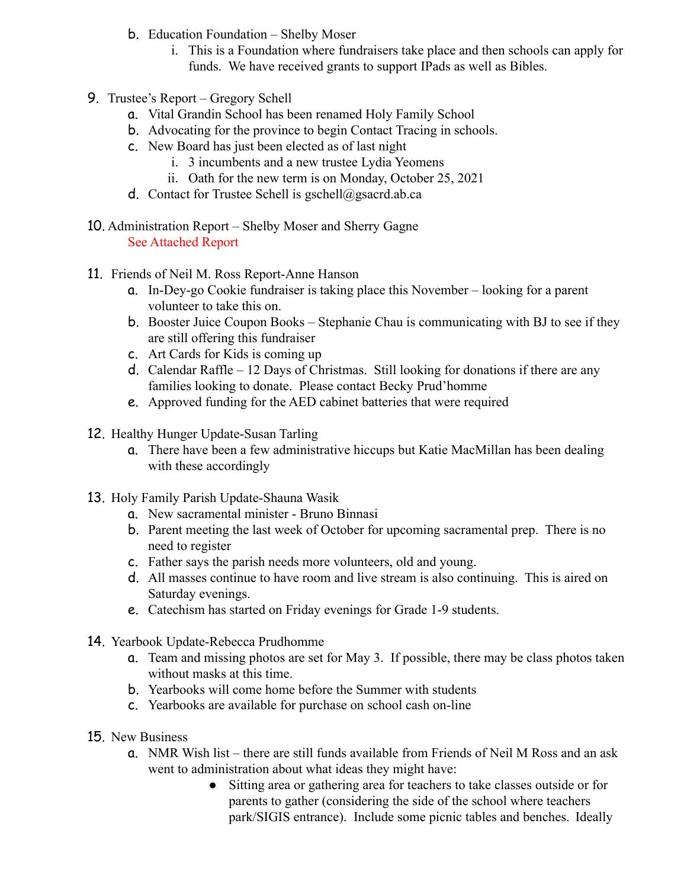- b. Education Foundation Shelby Moser
	- i. This is a Foundation where fundraisers take place and then schools can apply for funds. We have received grants to support IPads as well as Bibles.
- 9. Trustee's Report Gregory Schell
	- a. Vital Grandin School has been renamed Holy Family School
	- b. Advocating for the province to begin Contact Tracing in schools.
	- c. New Board has just been elected as of last night
		- i. 3 incumbents and a new trustee Lydia Yeomens
		- ii. Oath for the new term is on Monday, October 25, 2021
	- d. Contact for Trustee Schell is gschell@gsacrd.ab.ca
- 10. Administration Report Shelby Moser and Sherry Gagne See Attached Report
- 11. Friends of Neil M. Ross Report-Anne Hanson
	- a. In-Dey-go Cookie fundraiser is taking place this November looking for a parent volunteer to take this on.
	- b. Booster Juice Coupon Books Stephanie Chau is communicating with BJ to see if they are still offering this fundraiser
	- c. Art Cards for Kids is coming up
	- d. Calendar Raffle 12 Days of Christmas. Still looking for donations if there are any families looking to donate. Please contact Becky Prud'homme
	- e. Approved funding for the AED cabinet batteries that were required
- 12. Healthy Hunger Update-Susan Tarling
	- a. There have been a few administrative hiccups but Katie MacMillan has been dealing with these accordingly
- 13. Holy Family Parish Update-Shauna Wasik
	- a. New sacramental minister Bruno Binnasi
	- b. Parent meeting the last week of October for upcoming sacramental prep. There is no need to register
	- c. Father says the parish needs more volunteers, old and young.
	- d. All masses continue to have room and live stream is also continuing. This is aired on Saturday evenings.
	- e. Catechism has started on Friday evenings for Grade 1-9 students.
- 14. Yearbook Update-Rebecca Prudhomme
	- a. Team and missing photos are set for May 3. If possible, there may be class photos taken without masks at this time.
	- b. Yearbooks will come home before the Summer with students
	- c. Yearbooks are available for purchase on school cash on-line
- 15. New Business
	- a. NMR Wish list there are still funds available from Friends of Neil M Ross and an ask went to administration about what ideas they might have:
		- Sitting area or gathering area for teachers to take classes outside or for parents to gather (considering the side of the school where teachers park/SIGIS entrance). Include some picnic tables and benches. Ideally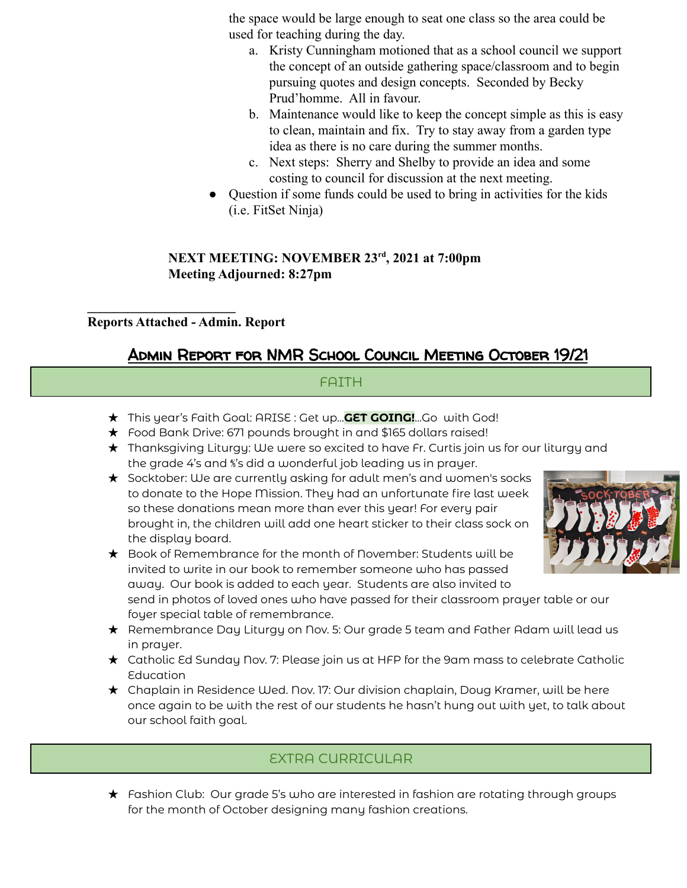the space would be large enough to seat one class so the area could be used for teaching during the day.

- a. Kristy Cunningham motioned that as a school council we support the concept of an outside gathering space/classroom and to begin pursuing quotes and design concepts. Seconded by Becky Prud'homme. All in favour.
- b. Maintenance would like to keep the concept simple as this is easy to clean, maintain and fix. Try to stay away from a garden type idea as there is no care during the summer months.
- c. Next steps: Sherry and Shelby to provide an idea and some costing to council for discussion at the next meeting.
- Question if some funds could be used to bring in activities for the kids (i.e. FitSet Ninja)

#### **NEXT MEETING: NOVEMBER 23rd , 2021 at 7:00pm Meeting Adjourned: 8:27pm**

**Reports Attached - Admin. Report**

**\_\_\_\_\_\_\_\_\_\_\_\_\_\_\_\_\_\_\_\_\_\_**

# Admin Report for NMR School Council Meeting October 19/21

### FAITH

- ★ This year's Faith Goal: ARISE : Get up...**GET GOING!**...Go with God!
- ★ Food Bank Drive: 671 pounds brought in and \$165 dollars raised!
- ★ Thanksgiving Liturgy: We were so excited to have Fr. Curtis join us for our liturgy and the grade 4's and ⅘'s did a wonderful job leading us in prayer.
- ★ Socktober: We are currently asking for adult men's and women's socks to donate to the Hope Mission. They had an unfortunate fire last week so these donations mean more than ever this year! For every pair brought in, the children will add one heart sticker to their class sock on the display board.



★ Book of Remembrance for the month of November: Students will be invited to write in our book to remember someone who has passed away. Our book is added to each year. Students are also invited to

send in photos of loved ones who have passed for their classroom prayer table or our foyer special table of remembrance.

- ★ Remembrance Day Liturgy on Nov. 5: Our grade 5 team and Father Adam will lead us in prayer.
- ★ Catholic Ed Sunday Nov. 7: Please join us at HFP for the 9am mass to celebrate Catholic Education
- ★ Chaplain in Residence Wed. Nov. 17: Our division chaplain, Doug Kramer, will be here once again to be with the rest of our students he hasn't hung out with yet, to talk about our school faith goal.

# EXTRA CURRICULAR

★ Fashion Club: Our grade 5's who are interested in fashion are rotating through groups for the month of October designing many fashion creations.